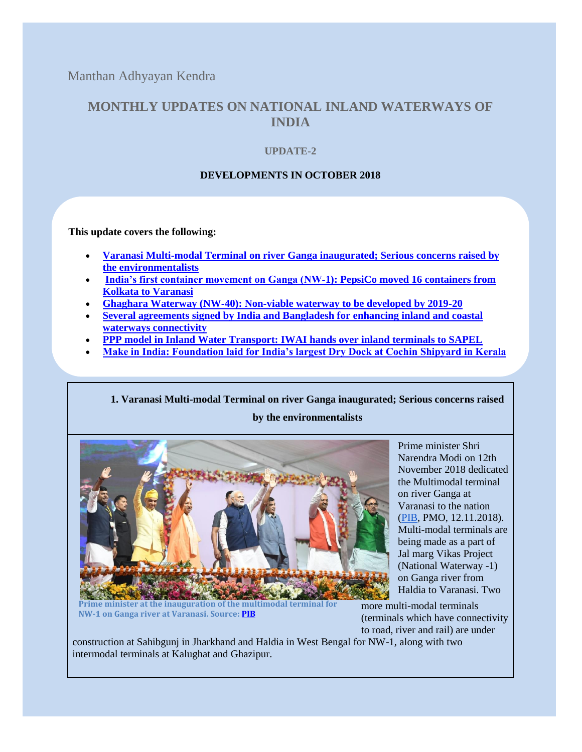Manthan Adhyayan Kendra

# **MONTHLY UPDATES ON NATIONAL INLAND WATERWAYS OF INDIA**

## **UPDATE-2**

## **DEVELOPMENTS IN OCTOBER 2018**

**This update covers the following:**

- **[Varanasi Multi-modal Terminal on river Ganga](#page-0-0) inaugurated; Serious concerns raised by [the environmentalists](#page-0-0)**
- **[India's first container movement on Ganga \(NW-1\): PepsiCo moved 16 containers from](#page-1-0)  [Kolkata to Varanasi](#page-1-0)**
- **[Ghaghara Waterway \(NW-40\): Non-viable waterway to be developed by 2019-20](#page-2-0)**
- **[Several agreements signed by India and Bangladesh for enhancing inland and coastal](#page-2-1)  [waterways connectivity](#page-2-1)**
- **[PPP model in Inland Water Transport: IWAI hands over inland terminals to SAPEL](#page-4-0)**
- **[Make in India: Foundation laid for India's largest Dry Dock at Cochin Shipyard in Kerala](#page-4-1)**

<span id="page-0-0"></span>**1. [Varanasi Multi-modal Terminal on river Ganga inaugurated; Serious concerns raised](https://docs.google.com/document/d/1NrBNLvMkq-lCxI1G8YtVE-WJansskDXKhCh2mMEVbW0/edit#bookmark=id.7lnr88pd8lx5)  [by the](https://docs.google.com/document/d/1NrBNLvMkq-lCxI1G8YtVE-WJansskDXKhCh2mMEVbW0/edit#bookmark=id.7lnr88pd8lx5) environmentalists**



Prime minister Shri Narendra Modi on 12th November 2018 dedicated the Multimodal terminal on river Ganga at Varanasi to the nation [\(PIB,](http://pib.nic.in/PressReleseDetail.aspx?PMO=3&PRID=1552538) PMO, 12.11.2018). Multi-modal terminals are being made as a part of Jal marg Vikas Project (National Waterway -1) on Ganga river from Haldia to Varanasi. Two

**Prime minister at the inauguration of the multimodal terminal for NW-1 on Ganga river at Varanasi. Source[: PIB](http://pib.nic.in/PhotoCategories.aspx?MenuId=8)**

more multi-modal terminals (terminals which have connectivity to road, river and rail) are under

construction at Sahibgunj in Jharkhand and Haldia in West Bengal for NW-1, along with two intermodal terminals at Kalughat and Ghazipur.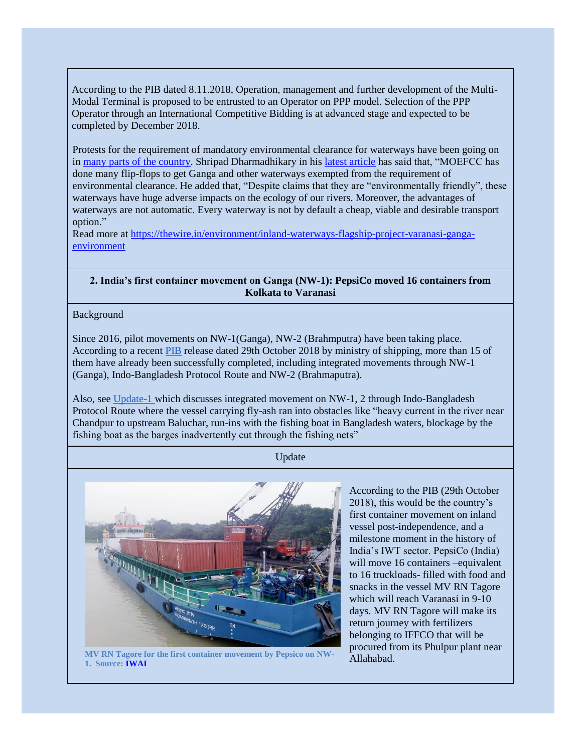According to the PIB dated 8.11.2018, Operation, management and further development of the Multi-Modal Terminal is proposed to be entrusted to an Operator on PPP model. Selection of the PPP Operator through an International Competitive Bidding is at advanced stage and expected to be completed by December 2018.

Protests for the requirement of mandatory environmental clearance for waterways have been going on in [many parts of the country.](https://www.deccanchronicle.com/nation/in-other-news/050118/people-protest-against-inland-waterway.html) Shripad Dharmadhikary in hi[s latest article](https://thewire.in/environment/inland-waterways-flagship-project-varanasi-ganga-environment) has said that, "MOEFCC has done many flip-flops to get Ganga and other waterways exempted from the requirement of environmental clearance. He added that, "Despite claims that they are "environmentally friendly", these waterways have huge adverse impacts on the ecology of our rivers. Moreover, the advantages of waterways are not automatic. Every waterway is not by default a cheap, viable and desirable transport option."

Read more at [https://thewire.in/environment/inland-waterways-flagship-project-varanasi-ganga](https://thewire.in/environment/inland-waterways-flagship-project-varanasi-ganga-environment)[environment](https://thewire.in/environment/inland-waterways-flagship-project-varanasi-ganga-environment)

#### <span id="page-1-0"></span>**2. India's first container movement on Ganga (NW-1): PepsiCo moved 16 containers from Kolkata to Varanasi**

Background

Since 2016, pilot movements on NW-1(Ganga), NW-2 (Brahmputra) have been taking place. According to a recent [PIB](http://pib.nic.in/PressReleseDetail.aspx?PRID=1548957) release dated 29th October 2018 by ministry of shipping, more than 15 of them have already been successfully completed, including integrated movements through NW-1 (Ganga), Indo-Bangladesh Protocol Route and NW-2 (Brahmaputra).

Also, see [Update-1 w](http://www.manthan-india.org/wp-content/uploads/2018/10/Inland-waterway-update-Manthan-Sept-2018.pdf)hich discusses integrated movement on NW-1, 2 through Indo-Bangladesh Protocol Route where the vessel carrying fly-ash ran into obstacles like "heavy current in the river near Chandpur to upstream Baluchar, run-ins with the fishing boat in Bangladesh waters, blockage by the fishing boat as the barges inadvertently cut through the fishing nets"

Update



MV RN Tagore for the first container movement by Pepsico on NW-<br>Allahabad. **1. Source: [IWAI](https://www.facebook.com/239604849793692/photos/a.356509114769931/556572441430263/?type=3&theater)**

According to the PIB (29th October 2018), this would be the country's first container movement on inland vessel post-independence, and a milestone moment in the history of India's IWT sector. PepsiCo (India) will move 16 containers –equivalent to 16 truckloads- filled with food and snacks in the vessel MV RN Tagore which will reach Varanasi in 9-10 days. MV RN Tagore will make its return journey with fertilizers belonging to IFFCO that will be procured from its Phulpur plant near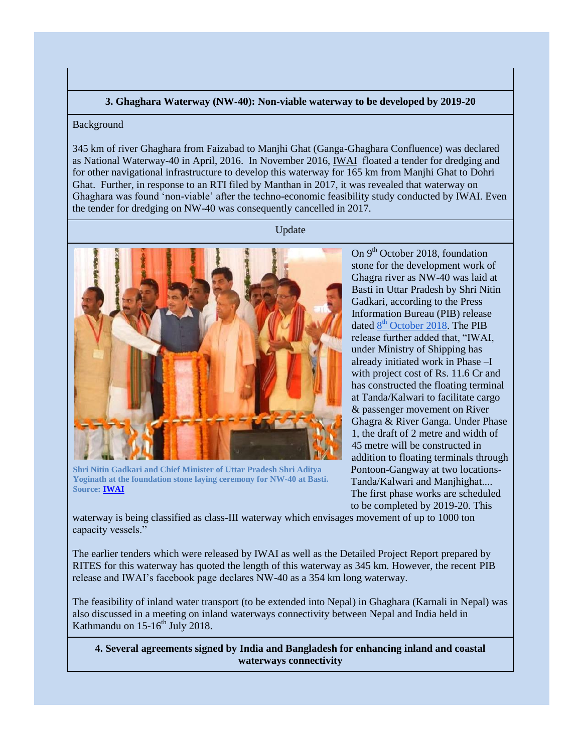### **3. Ghaghara Waterway (NW-40): Non-viable waterway to be developed by 2019-20**

### <span id="page-2-0"></span>Background

345 km of river Ghaghara from Faizabad to Manjhi Ghat (Ganga-Ghaghara Confluence) was declared as National Waterway-40 in April, 2016. In November 2016[,](http://iwai.nic.in/showtndfile.php?tender_id=1081) [IWAI](http://iwai.nic.in/showtndfile.php?tender_id=1081) floated a tender for dredging and for other navigational infrastructure to develop this waterway for 165 km from Manjhi Ghat to Dohri Ghat. Further, in response to an RTI filed by Manthan in 2017, it was revealed that waterway on Ghaghara was found 'non-viable' after the techno-economic feasibility study conducted by IWAI. Even the tender for dredging on NW-40 was consequently cancelled in 2017.

#### Update



**Shri Nitin Gadkari and Chief Minister of Uttar Pradesh Shri Aditya Yoginath at the foundation stone laying ceremony for NW-40 at Basti. Source[: IWAI](https://www.facebook.com/239604849793692/photos/a.356509114769931/547881015632739/?type=3&theater)**

On  $9<sup>th</sup>$  October 2018, foundation stone for the development work of Ghagra river as NW-40 was laid at Basti in Uttar Pradesh by Shri Nitin Gadkari, according to the Press Information Bureau (PIB) release [d](http://pib.nic.in/PressReleseDetail.aspx?PRID=1548957)ated  $8<sup>th</sup>$  $8<sup>th</sup>$  $8<sup>th</sup>$  $8<sup>th</sup>$  [October 2018.](http://pib.nic.in/PressReleseDetail.aspx?PRID=1548957) The PIB release further added that, "IWAI, under Ministry of Shipping has already initiated work in Phase –I with project cost of Rs. 11.6 Cr and has constructed the floating terminal at Tanda/Kalwari to facilitate cargo & passenger movement on River Ghagra & River Ganga. Under Phase 1, the draft of 2 metre and width of 45 metre will be constructed in addition to floating terminals through Pontoon-Gangway at two locations-Tanda/Kalwari and Manjhighat.... The first phase works are scheduled to be completed by 2019-20. This

waterway is being classified as class-III waterway which envisages movement of up to 1000 ton capacity vessels."

The earlier tenders which were released by IWAI as well as the Detailed Project Report prepared by RITES for this waterway has quoted the length of this waterway as 345 km. However, the recent PIB release and IWAI's facebook page declares NW-40 as a 354 km long waterway.

The feasibility of inland water transport (to be extended into Nepal) in Ghaghara (Karnali in Nepal) was also discussed in a meeting on inland waterways connectivity between Nepal and India held in Kathmandu on  $15-16^{th}$  July 2018.

<span id="page-2-1"></span>**4. Several agreements signed by India and Bangladesh for enhancing inland and coastal waterways connectivity**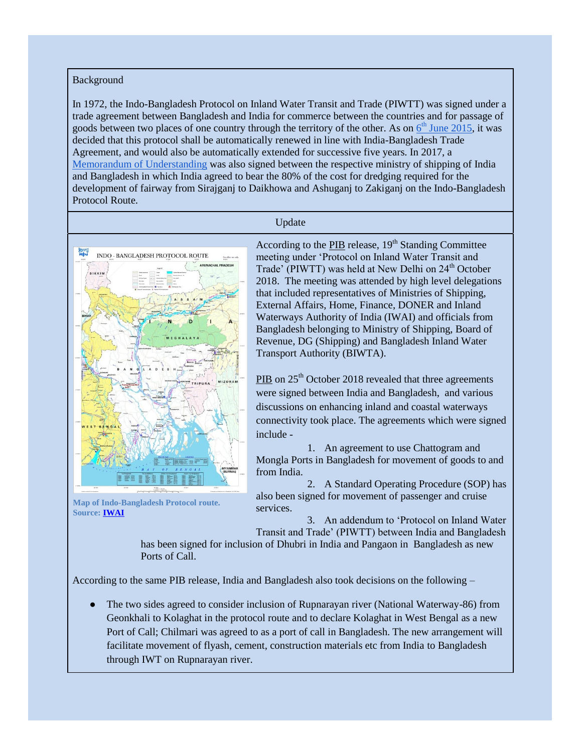Background

In 1972, the Indo-Bangladesh Protocol on Inland Water Transit and Trade (PIWTT) was signed under a trade agreement between Bangladesh and India for commerce between the countries and for passage of goods betwee[n](http://iwai.nic.in/showfile.php?lid=1133) two places of one country [th](http://iwai.nic.in/showfile.php?lid=1133)rough the territory of the other. As on  $6<sup>th</sup>$  $6<sup>th</sup>$  [June 2015,](http://iwai.nic.in/showfile.php?lid=1133) it was decided that this protocol shall be automatically renewed in line with India-Bangladesh Trade Agreement, and would also be automatically extended for successive five years. In 2017, [a](http://iwai.nic.in/showfile.php?lid=1051) [Memorandum of Understanding](http://iwai.nic.in/showfile.php?lid=1051) was also signed between the respective ministry of shipping of India and Bangladesh in which India agreed to bear the 80% of the cost for dredging required for the development of fairway from Sirajganj to Daikhowa and Ashuganj to Zakiganj on the Indo-Bangladesh Protocol Route.

#### Update



**Map of Indo-Bangladesh Protocol route. Source[: IWAI](http://iwai.nic.in/showfile.php?lid=1409)**

According to th[e](http://pib.nic.in/PressReleseDetail.aspx?PRID=1548957) [PIB](http://pib.nic.in/PressReleseDetail.aspx?PRID=1548957) release,  $19<sup>th</sup>$  Standing Committee meeting under 'Protocol on Inland Water Transit and Trade' (PIWTT) was held at New Delhi on  $24<sup>th</sup>$  October 2018. The meeting was attended by high level delegations that included representatives of Ministries of Shipping, External Affairs, Home, Finance, DONER and Inland Waterways Authority of India (IWAI) and officials from Bangladesh belonging to Ministry of Shipping, Board of Revenue, DG (Shipping) and Bangladesh Inland Water Transport Authority (BIWTA).

[PIB](http://pib.nic.in/PressReleseDetail.aspx?PRID=1548957) on 25<sup>th</sup> October 2018 revealed that three agreements were signed between India and Bangladesh, and various discussions on enhancing inland and coastal waterways connectivity took place. The agreements which were signed include -

1. An agreement to use Chattogram and Mongla Ports in Bangladesh for movement of goods to and from India.

2. A Standard Operating Procedure (SOP) has also been signed for movement of passenger and cruise services.

3. An addendum to 'Protocol on Inland Water Transit and Trade' (PIWTT) between India and Bangladesh

has been signed for inclusion of Dhubri in India and Pangaon in Bangladesh as new Ports of Call.

According to the same PIB release, India and Bangladesh also took decisions on the following –

The two sides agreed to consider inclusion of Rupnarayan river (National Waterway-86) from Geonkhali to Kolaghat in the protocol route and to declare Kolaghat in West Bengal as a new Port of Call; Chilmari was agreed to as a port of call in Bangladesh. The new arrangement will facilitate movement of flyash, cement, construction materials etc from India to Bangladesh through IWT on Rupnarayan river.